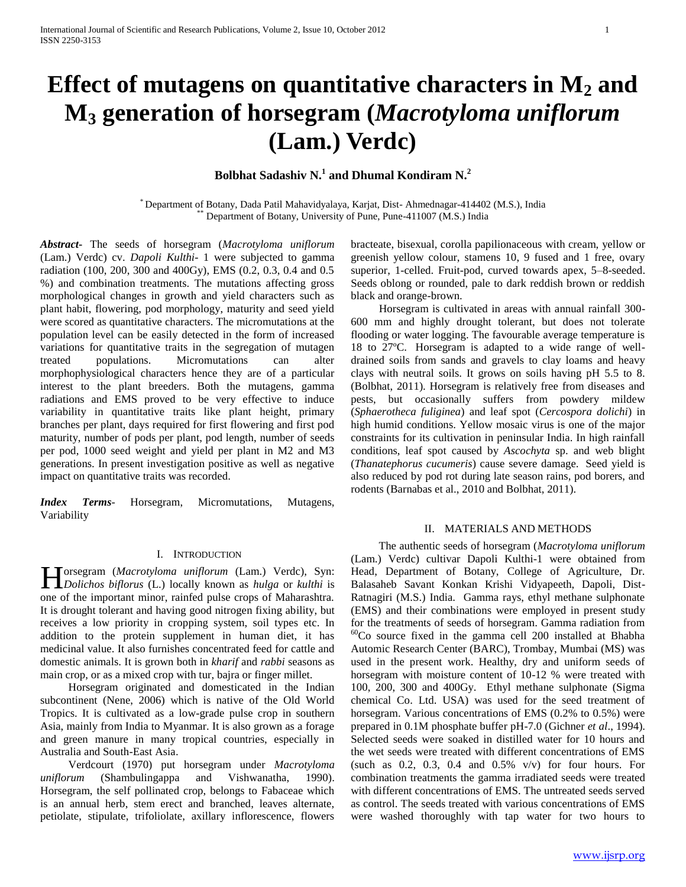# **Effect of mutagens on quantitative characters in M<sup>2</sup> and M<sup>3</sup> generation of horsegram (***Macrotyloma uniflorum* **(Lam.) Verdc)**

**Bolbhat Sadashiv N.<sup>1</sup> and Dhumal Kondiram N.<sup>2</sup>**

\* Department of Botany, Dada Patil Mahavidyalaya, Karjat, Dist- Ahmednagar-414402 (M.S.), India Department of Botany, University of Pune, Pune-411007 (M.S.) India

*Abstract***-** The seeds of horsegram (*Macrotyloma uniflorum* (Lam.) Verdc) cv. *Dapoli Kulthi*- 1 were subjected to gamma radiation (100, 200, 300 and 400Gy), EMS (0.2, 0.3, 0.4 and 0.5 %) and combination treatments. The mutations affecting gross morphological changes in growth and yield characters such as plant habit, flowering, pod morphology, maturity and seed yield were scored as quantitative characters. The micromutations at the population level can be easily detected in the form of increased variations for quantitative traits in the segregation of mutagen treated populations. Micromutations can alter morphophysiological characters hence they are of a particular interest to the plant breeders. Both the mutagens, gamma radiations and EMS proved to be very effective to induce variability in quantitative traits like plant height, primary branches per plant, days required for first flowering and first pod maturity, number of pods per plant, pod length, number of seeds per pod, 1000 seed weight and yield per plant in M2 and M3 generations. In present investigation positive as well as negative impact on quantitative traits was recorded.

*Index Terms*- Horsegram, Micromutations, Mutagens, Variability

# I. INTRODUCTION

orsegram (*Macrotyloma uniflorum* (Lam.) Verdc), Syn: **H** orsegram (Macrotyloma uniflorum (Lam.) Verdc), Syn:<br> *Dolichos biflorus* (L.) locally known as *hulga* or *kulthi* is one of the important minor, rainfed pulse crops of Maharashtra. It is drought tolerant and having good nitrogen fixing ability, but receives a low priority in cropping system, soil types etc. In addition to the protein supplement in human diet, it has medicinal value. It also furnishes concentrated feed for cattle and domestic animals. It is grown both in *kharif* and *rabbi* seasons as main crop, or as a mixed crop with tur, bajra or finger millet.

 Horsegram originated and domesticated in the Indian subcontinent (Nene, 2006) which is native of the Old World Tropics. It is cultivated as a low-grade pulse crop in southern Asia, mainly from India to Myanmar. It is also grown as a forage and green manure in many tropical countries, especially in Australia and South-East Asia.

 Verdcourt (1970) put horsegram under *Macrotyloma uniflorum* (Shambulingappa and Vishwanatha, 1990). Horsegram, the self pollinated crop, belongs to Fabaceae which is an annual herb, stem erect and branched, leaves alternate, petiolate, stipulate, trifoliolate, axillary inflorescence, flowers

bracteate, bisexual, corolla papilionaceous with cream, yellow or greenish yellow colour, stamens 10, 9 fused and 1 free, ovary superior, 1-celled. Fruit-pod, curved towards apex, 5–8-seeded. Seeds oblong or rounded, pale to dark reddish brown or reddish black and orange-brown.

 Horsegram is cultivated in areas with annual rainfall 300- 600 mm and highly drought tolerant, but does not tolerate flooding or water logging. The favourable average temperature is 18 to 27ºC. Horsegram is adapted to a wide range of welldrained soils from sands and gravels to clay loams and heavy clays with neutral soils. It grows on soils having pH 5.5 to 8. (Bolbhat, 2011). Horsegram is relatively free from diseases and pests, but occasionally suffers from powdery mildew (*Sphaerotheca fuliginea*) and leaf spot (*Cercospora dolichi*) in high humid conditions. Yellow mosaic virus is one of the major constraints for its cultivation in peninsular India. In high rainfall conditions, leaf spot caused by *Ascochyta* sp. and web blight (*Thanatephorus cucumeris*) cause severe damage. Seed yield is also reduced by pod rot during late season rains, pod borers, and rodents (Barnabas et al., 2010 and Bolbhat, 2011).

## II. MATERIALS AND METHODS

 The authentic seeds of horsegram (*Macrotyloma uniflorum* (Lam.) Verdc) cultivar Dapoli Kulthi-1 were obtained from Head, Department of Botany, College of Agriculture, Dr. Balasaheb Savant Konkan Krishi Vidyapeeth, Dapoli, Dist-Ratnagiri (M.S.) India. Gamma rays, ethyl methane sulphonate (EMS) and their combinations were employed in present study for the treatments of seeds of horsegram. Gamma radiation from  $60^{\circ}$ Co source fixed in the gamma cell 200 installed at Bhabha Automic Research Center (BARC), Trombay, Mumbai (MS) was used in the present work. Healthy, dry and uniform seeds of horsegram with moisture content of 10-12 % were treated with 100, 200, 300 and 400Gy. Ethyl methane sulphonate (Sigma chemical Co. Ltd. USA) was used for the seed treatment of horsegram. Various concentrations of EMS (0.2% to 0.5%) were prepared in 0.1M phosphate buffer pH-7.0 (Gichner *et al*., 1994). Selected seeds were soaked in distilled water for 10 hours and the wet seeds were treated with different concentrations of EMS (such as  $0.2$ ,  $0.3$ ,  $0.4$  and  $0.5\%$  v/v) for four hours. For combination treatments the gamma irradiated seeds were treated with different concentrations of EMS. The untreated seeds served as control. The seeds treated with various concentrations of EMS were washed thoroughly with tap water for two hours to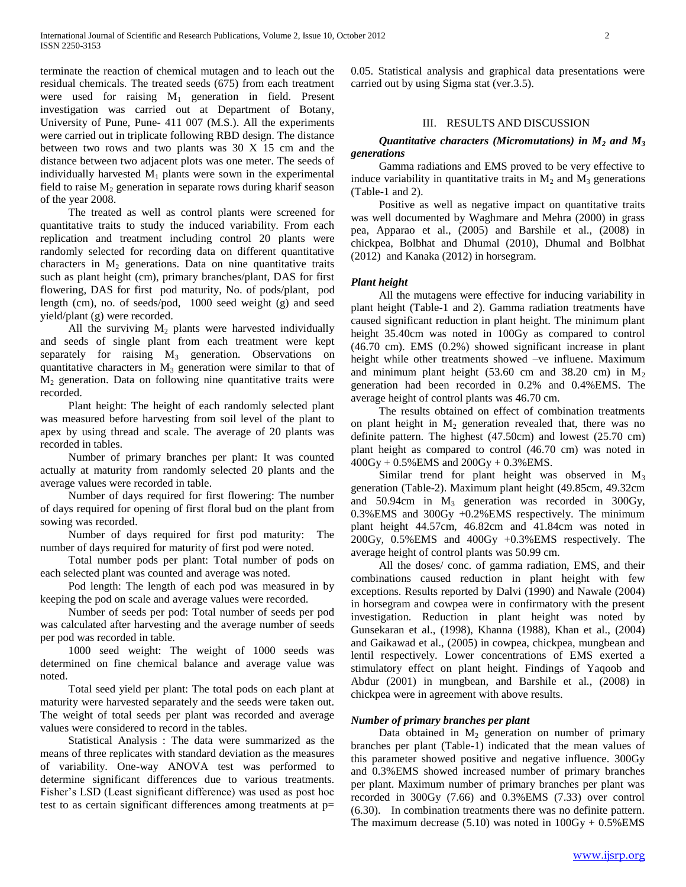terminate the reaction of chemical mutagen and to leach out the residual chemicals. The treated seeds (675) from each treatment were used for raising  $M_1$  generation in field. Present investigation was carried out at Department of Botany, University of Pune, Pune- 411 007 (M.S.). All the experiments were carried out in triplicate following RBD design. The distance between two rows and two plants was 30 X 15 cm and the distance between two adjacent plots was one meter. The seeds of individually harvested  $M_1$  plants were sown in the experimental field to raise  $M_2$  generation in separate rows during kharif season of the year 2008.

 The treated as well as control plants were screened for quantitative traits to study the induced variability. From each replication and treatment including control 20 plants were randomly selected for recording data on different quantitative characters in  $M_2$  generations. Data on nine quantitative traits such as plant height (cm), primary branches/plant, DAS for first flowering, DAS for first pod maturity, No. of pods/plant, pod length (cm), no. of seeds/pod, 1000 seed weight (g) and seed yield/plant (g) were recorded.

All the surviving  $M_2$  plants were harvested individually and seeds of single plant from each treatment were kept separately for raising  $M_3$  generation. Observations on quantitative characters in  $M_3$  generation were similar to that of M<sup>2</sup> generation. Data on following nine quantitative traits were recorded.

 Plant height: The height of each randomly selected plant was measured before harvesting from soil level of the plant to apex by using thread and scale. The average of 20 plants was recorded in tables.

 Number of primary branches per plant: It was counted actually at maturity from randomly selected 20 plants and the average values were recorded in table.

 Number of days required for first flowering: The number of days required for opening of first floral bud on the plant from sowing was recorded.

 Number of days required for first pod maturity: The number of days required for maturity of first pod were noted.

 Total number pods per plant: Total number of pods on each selected plant was counted and average was noted.

 Pod length: The length of each pod was measured in by keeping the pod on scale and average values were recorded.

 Number of seeds per pod: Total number of seeds per pod was calculated after harvesting and the average number of seeds per pod was recorded in table.

 1000 seed weight: The weight of 1000 seeds was determined on fine chemical balance and average value was noted.

 Total seed yield per plant: The total pods on each plant at maturity were harvested separately and the seeds were taken out. The weight of total seeds per plant was recorded and average values were considered to record in the tables.

 Statistical Analysis : The data were summarized as the means of three replicates with standard deviation as the measures of variability. One-way ANOVA test was performed to determine significant differences due to various treatments. Fisher's LSD (Least significant difference) was used as post hoc test to as certain significant differences among treatments at p=

0.05. Statistical analysis and graphical data presentations were carried out by using Sigma stat (ver.3.5).

# III. RESULTS AND DISCUSSION

# *Quantitative characters (Micromutations) in M<sup>2</sup> and M<sup>3</sup> generations*

 Gamma radiations and EMS proved to be very effective to induce variability in quantitative traits in  $M_2$  and  $M_3$  generations (Table-1 and 2).

 Positive as well as negative impact on quantitative traits was well documented by Waghmare and Mehra (2000) in grass pea, Apparao et al., (2005) and Barshile et al., (2008) in chickpea, Bolbhat and Dhumal (2010), Dhumal and Bolbhat (2012) and Kanaka (2012) in horsegram.

# *Plant height*

 All the mutagens were effective for inducing variability in plant height (Table-1 and 2). Gamma radiation treatments have caused significant reduction in plant height. The minimum plant height 35.40cm was noted in 100Gy as compared to control (46.70 cm). EMS (0.2%) showed significant increase in plant height while other treatments showed –ve influene. Maximum and minimum plant height  $(53.60 \text{ cm and } 38.20 \text{ cm})$  in M<sub>2</sub> generation had been recorded in 0.2% and 0.4%EMS. The average height of control plants was 46.70 cm.

 The results obtained on effect of combination treatments on plant height in  $M_2$  generation revealed that, there was no definite pattern. The highest (47.50cm) and lowest (25.70 cm) plant height as compared to control (46.70 cm) was noted in 400Gy + 0.5%EMS and 200Gy + 0.3%EMS.

Similar trend for plant height was observed in  $M_3$ generation (Table-2). Maximum plant height (49.85cm, 49.32cm and  $50.94$ cm in  $M_3$  generation was recorded in  $300Gy$ , 0.3%EMS and 300Gy +0.2%EMS respectively. The minimum plant height 44.57cm, 46.82cm and 41.84cm was noted in 200Gy, 0.5%EMS and 400Gy +0.3%EMS respectively. The average height of control plants was 50.99 cm.

 All the doses/ conc. of gamma radiation, EMS, and their combinations caused reduction in plant height with few exceptions. Results reported by Dalvi (1990) and Nawale (2004) in horsegram and cowpea were in confirmatory with the present investigation. Reduction in plant height was noted by Gunsekaran et al., (1998), Khanna (1988), Khan et al., (2004) and Gaikawad et al., (2005) in cowpea, chickpea, mungbean and lentil respectively. Lower concentrations of EMS exerted a stimulatory effect on plant height. Findings of Yaqoob and Abdur (2001) in mungbean, and Barshile et al., (2008) in chickpea were in agreement with above results.

# *Number of primary branches per plant*

Data obtained in  $M_2$  generation on number of primary branches per plant (Table-1) indicated that the mean values of this parameter showed positive and negative influence. 300Gy and 0.3%EMS showed increased number of primary branches per plant. Maximum number of primary branches per plant was recorded in 300Gy (7.66) and 0.3%EMS (7.33) over control (6.30). In combination treatments there was no definite pattern. The maximum decrease  $(5.10)$  was noted in  $100Gy + 0.5\%$  EMS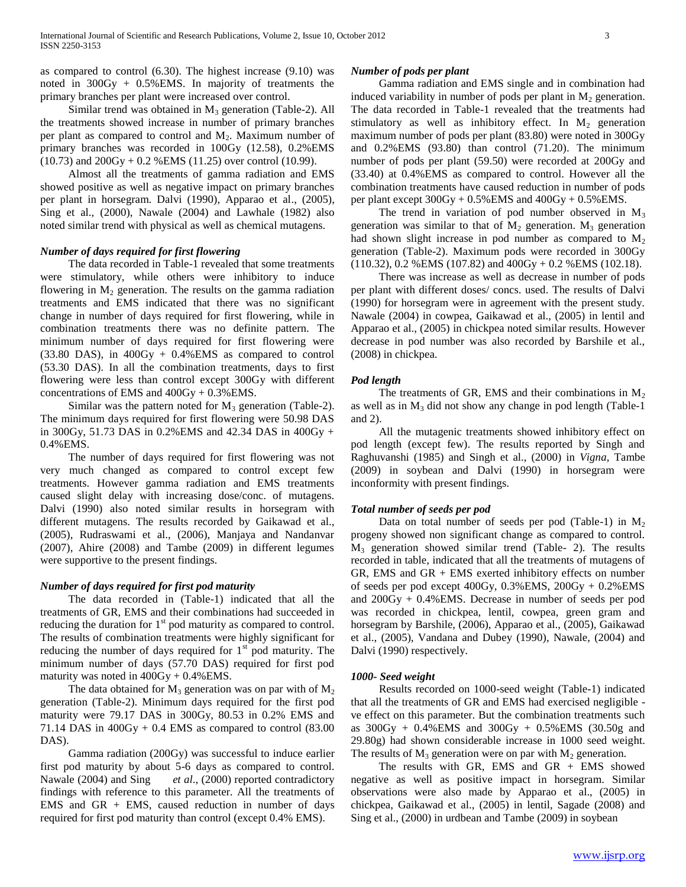as compared to control (6.30). The highest increase (9.10) was noted in 300Gy + 0.5%EMS. In majority of treatments the primary branches per plant were increased over control.

Similar trend was obtained in  $M_3$  generation (Table-2). All the treatments showed increase in number of primary branches per plant as compared to control and  $M_2$ . Maximum number of primary branches was recorded in 100Gy (12.58), 0.2%EMS  $(10.73)$  and  $200Gy + 0.2$  %EMS  $(11.25)$  over control  $(10.99)$ .

 Almost all the treatments of gamma radiation and EMS showed positive as well as negative impact on primary branches per plant in horsegram. Dalvi (1990), Apparao et al., (2005), Sing et al., (2000), Nawale (2004) and Lawhale (1982) also noted similar trend with physical as well as chemical mutagens.

## *Number of days required for first flowering*

 The data recorded in Table-1 revealed that some treatments were stimulatory, while others were inhibitory to induce flowering in  $M_2$  generation. The results on the gamma radiation treatments and EMS indicated that there was no significant change in number of days required for first flowering, while in combination treatments there was no definite pattern. The minimum number of days required for first flowering were  $(33.80 \text{ DAS})$ , in  $400\text{Gy} + 0.4\% \text{EMS}$  as compared to control (53.30 DAS). In all the combination treatments, days to first flowering were less than control except 300Gy with different concentrations of EMS and 400Gy + 0.3%EMS.

Similar was the pattern noted for  $M_3$  generation (Table-2). The minimum days required for first flowering were 50.98 DAS in 300Gy, 51.73 DAS in 0.2%EMS and 42.34 DAS in 400Gy + 0.4%EMS.

 The number of days required for first flowering was not very much changed as compared to control except few treatments. However gamma radiation and EMS treatments caused slight delay with increasing dose/conc. of mutagens. Dalvi (1990) also noted similar results in horsegram with different mutagens. The results recorded by Gaikawad et al., (2005), Rudraswami et al., (2006), Manjaya and Nandanvar (2007), Ahire (2008) and Tambe (2009) in different legumes were supportive to the present findings.

## *Number of days required for first pod maturity*

 The data recorded in (Table-1) indicated that all the treatments of GR, EMS and their combinations had succeeded in reducing the duration for  $1<sup>st</sup>$  pod maturity as compared to control. The results of combination treatments were highly significant for reducing the number of days required for  $1<sup>st</sup>$  pod maturity. The minimum number of days (57.70 DAS) required for first pod maturity was noted in  $400Gy + 0.4\%$  EMS.

The data obtained for  $M_3$  generation was on par with of  $M_2$ generation (Table-2). Minimum days required for the first pod maturity were 79.17 DAS in 300Gy, 80.53 in 0.2% EMS and 71.14 DAS in  $400Gy + 0.4$  EMS as compared to control (83.00) DAS).

 Gamma radiation (200Gy) was successful to induce earlier first pod maturity by about 5-6 days as compared to control. Nawale (2004) and Sing *et al*., (2000) reported contradictory findings with reference to this parameter. All the treatments of EMS and  $GR + EMS$ , caused reduction in number of days required for first pod maturity than control (except 0.4% EMS).

#### *Number of pods per plant*

 Gamma radiation and EMS single and in combination had induced variability in number of pods per plant in  $M_2$  generation. The data recorded in Table-1 revealed that the treatments had stimulatory as well as inhibitory effect. In  $M_2$  generation maximum number of pods per plant (83.80) were noted in 300Gy and 0.2%EMS (93.80) than control (71.20). The minimum number of pods per plant (59.50) were recorded at 200Gy and (33.40) at 0.4%EMS as compared to control. However all the combination treatments have caused reduction in number of pods per plant except  $300Gy + 0.5\%$  EMS and  $400Gy + 0.5\%$  EMS.

The trend in variation of pod number observed in  $M_3$ generation was similar to that of  $M_2$  generation.  $M_3$  generation had shown slight increase in pod number as compared to  $M<sub>2</sub>$ generation (Table-2). Maximum pods were recorded in 300Gy (110.32), 0.2 %EMS (107.82) and 400Gy + 0.2 %EMS (102.18).

 There was increase as well as decrease in number of pods per plant with different doses/ concs. used. The results of Dalvi (1990) for horsegram were in agreement with the present study. Nawale (2004) in cowpea, Gaikawad et al., (2005) in lentil and Apparao et al., (2005) in chickpea noted similar results. However decrease in pod number was also recorded by Barshile et al., (2008) in chickpea.

#### *Pod length*

The treatments of GR, EMS and their combinations in  $M<sub>2</sub>$ as well as in  $M_3$  did not show any change in pod length (Table-1) and 2).

 All the mutagenic treatments showed inhibitory effect on pod length (except few). The results reported by Singh and Raghuvanshi (1985) and Singh et al., (2000) in *Vigna*, Tambe (2009) in soybean and Dalvi (1990) in horsegram were inconformity with present findings.

#### *Total number of seeds per pod*

Data on total number of seeds per pod (Table-1) in  $M_2$ progeny showed non significant change as compared to control. M<sup>3</sup> generation showed similar trend (Table- 2). The results recorded in table, indicated that all the treatments of mutagens of GR, EMS and GR + EMS exerted inhibitory effects on number of seeds per pod except 400Gy, 0.3%EMS, 200Gy + 0.2%EMS and 200Gy + 0.4%EMS. Decrease in number of seeds per pod was recorded in chickpea, lentil, cowpea, green gram and horsegram by Barshile, (2006), Apparao et al., (2005), Gaikawad et al., (2005), Vandana and Dubey (1990), Nawale, (2004) and Dalvi (1990) respectively.

### *1000- Seed weight*

 Results recorded on 1000-seed weight (Table-1) indicated that all the treatments of GR and EMS had exercised negligible ve effect on this parameter. But the combination treatments such as  $300Gy + 0.4\%$  EMS and  $300Gy + 0.5\%$  EMS  $(30.50g)$  and 29.80g) had shown considerable increase in 1000 seed weight. The results of  $M_3$  generation were on par with  $M_2$  generation.

 The results with GR, EMS and GR + EMS showed negative as well as positive impact in horsegram. Similar observations were also made by Apparao et al., (2005) in chickpea, Gaikawad et al., (2005) in lentil, Sagade (2008) and Sing et al., (2000) in urdbean and Tambe (2009) in soybean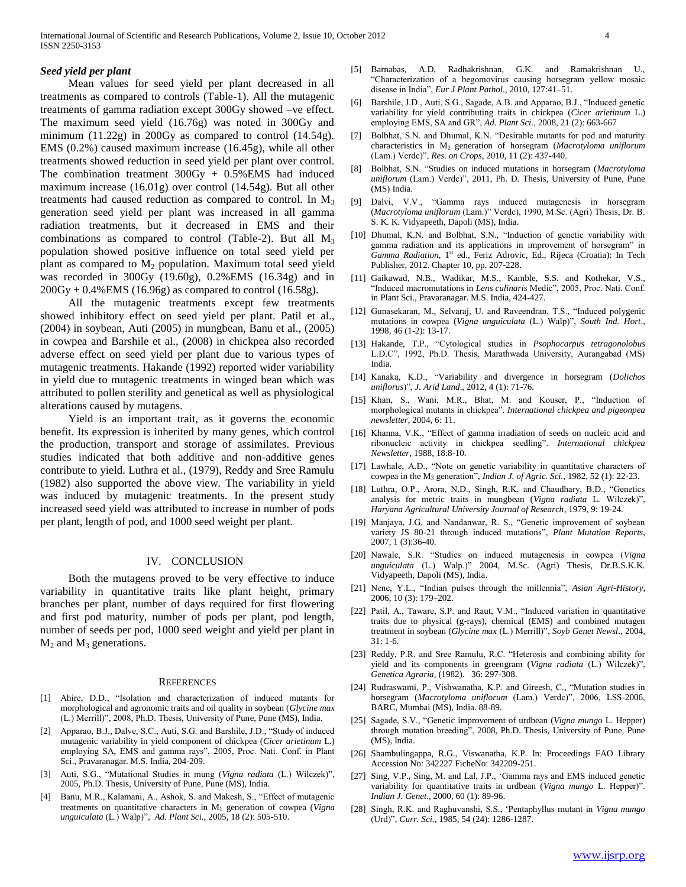#### *Seed yield per plant*

 Mean values for seed yield per plant decreased in all treatments as compared to controls (Table-1). All the mutagenic treatments of gamma radiation except 300Gy showed –ve effect. The maximum seed yield (16.76g) was noted in 300Gy and minimum (11.22g) in 200Gy as compared to control (14.54g). EMS (0.2%) caused maximum increase (16.45g), while all other treatments showed reduction in seed yield per plant over control. The combination treatment  $300Gy + 0.5\%$  EMS had induced maximum increase (16.01g) over control (14.54g). But all other treatments had caused reduction as compared to control. In  $M_3$ generation seed yield per plant was increased in all gamma radiation treatments, but it decreased in EMS and their combinations as compared to control (Table-2). But all  $M_3$ population showed positive influence on total seed yield per plant as compared to  $M_2$  population. Maximum total seed yield was recorded in 300Gy (19.60g), 0.2%EMS (16.34g) and in  $200Gy + 0.4\%$  EMS (16.96g) as compared to control (16.58g).

 All the mutagenic treatments except few treatments showed inhibitory effect on seed yield per plant. Patil et al., (2004) in soybean, Auti (2005) in mungbean, Banu et al., (2005) in cowpea and Barshile et al., (2008) in chickpea also recorded adverse effect on seed yield per plant due to various types of mutagenic treatments. Hakande (1992) reported wider variability in yield due to mutagenic treatments in winged bean which was attributed to pollen sterility and genetical as well as physiological alterations caused by mutagens.

 Yield is an important trait, as it governs the economic benefit. Its expression is inherited by many genes, which control the production, transport and storage of assimilates. Previous studies indicated that both additive and non-additive genes contribute to yield. Luthra et al., (1979), Reddy and Sree Ramulu (1982) also supported the above view. The variability in yield was induced by mutagenic treatments. In the present study increased seed yield was attributed to increase in number of pods per plant, length of pod, and 1000 seed weight per plant.

# IV. CONCLUSION

 Both the mutagens proved to be very effective to induce variability in quantitative traits like plant height, primary branches per plant, number of days required for first flowering and first pod maturity, number of pods per plant, pod length, number of seeds per pod, 1000 seed weight and yield per plant in  $M_2$  and  $M_3$  generations.

#### **REFERENCES**

- [1] Ahire, D.D., "Isolation and characterization of induced mutants for morphological and agronomic traits and oil quality in soybean (*Glycine max* (L.) Merrill)", 2008, Ph.D. Thesis, University of Pune, Pune (MS), India.
- [2] Apparao, B.J., Dalve, S.C., Auti, S.G. and Barshile, J.D., "Study of induced mutagenic variability in yield component of chickpea (*Cicer arietinum* L.) employing SA, EMS and gamma rays", 2005, Proc. Nati. Conf. in Plant Sci., Pravaranagar. M.S. India, 204-209.
- [3] Auti, S.G., "Mutational Studies in mung (*Vigna radiata* (L.) Wilczek)", 2005, Ph.D. Thesis, University of Pune, Pune (MS), India.
- [4] Banu, M.R., Kalamani, A., Ashok, S. and Makesh, S., "Effect of mutagenic treatments on quantitative characters in M<sup>1</sup> generation of cowpea (*Vigna unguiculata* (L.) Walp)", *Ad. Plant Sci.,* 2005, 18 (2): 505-510.
- [5] Barnabas, A.D, Radhakrishnan, G.K. and Ramakrishnan U., "Characterization of a begomovirus causing horsegram yellow mosaic disease in India", *Eur J Plant Pathol*., 2010, 127:41–51.
- [6] Barshile, J.D., Auti, S.G., Sagade, A.B. and Apparao, B.J., "Induced genetic variability for yield contributing traits in chickpea (*Cicer arietinum* L.) employing EMS, SA and GR", *Ad. Plant Sci.,* 2008, 21 (2): 663-667
- [7] Bolbhat, S.N. and Dhumal, K.N. "Desirable mutants for pod and maturity characteristics in M2 generation of horsegram (*Macrotyloma uniflorum* (Lam.) Verdc)", *Res. on Crops,* 2010, 11 (2): 437-440.
- [8] Bolbhat, S.N. "Studies on induced mutations in horsegram (*Macrotyloma uniflorum* (Lam.) Verdc)", 2011, Ph. D. Thesis, University of Pune, Pune (MS) India.
- [9] Dalvi, V.V., "Gamma rays induced mutagenesis in horsegram (*Macrotyloma uniflorum* (Lam.)" Verdc), 1990, M.Sc. (Agri) Thesis, Dr. B. S. K. K. Vidyapeeth, Dapoli (MS), India.
- [10] Dhumal, K.N. and Bolbhat, S.N., "Induction of genetic variability with gamma radiation and its applications in improvement of horsegram" in Gamma Radiation, 1<sup>st</sup> ed., Feriz Adrovic, Ed., Rijeca (Croatia): In Tech Publisher, 2012. Chapter 10, pp. 207-228.
- [11] Gaikawad, N.B., Wadikar, M.S., Kamble, S.S. and Kothekar, V.S., "Induced macromutations in *Lens culinaris* Medic", 2005, Proc. Nati. Conf. in Plant Sci., Pravaranagar. M.S. India, 424-427.
- [12] Gunasekaran, M., Selvaraj, U. and Raveendran, T.S., "Induced polygenic mutations in cowpea (*Vigna unguiculata* (L.) Walp)", *South Ind. Hort*., 1998, 46 (1-2): 13-17.
- [13] Hakande, T.P., "Cytological studies in *Psophocarpus tetragonolobus* L.D.C", 1992, Ph.D. Thesis, Marathwada University, Aurangabad (MS) India.
- [14] Kanaka, K.D., "Variability and divergence in horsegram (*Dolichos uniflorus*)", *J. Arid Land*., 2012, 4 (1): 71-76.
- [15] Khan, S., Wani, M.R., Bhat, M. and Kouser, P., "Induction of morphological mutants in chickpea". *International chickpea and pigeonpea newsletter*, 2004, 6: 11.
- [16] Khanna, V.K., "Effect of gamma irradiation of seeds on nucleic acid and ribonucleic activity in chickpea seedling". *International chickpea Newsletter,* 1988, 18:8-10.
- [17] Lawhale, A.D., "Note on genetic variability in quantitative characters of cowpea in the M<sup>3</sup> generation", *Indian J. of Agric. Sci.*, 1982, 52 (1): 22-23.
- [18] Luthra, O.P., Arora, N.D., Singh, R.K. and Chaudhary, B.D., "Genetics analysis for metric traits in mungbean (*Vigna radiata* L*.* Wilczek)", *Haryana Agricultural University Journal of Research*, 1979, 9: 19-24.
- [19] Manjaya, J.G. and Nandanwar, R. S., "Genetic improvement of soybean variety JS 80-21 through induced mutations", *Plant Mutation Reports,* 2007, 1 (3):36-40.
- [20] Nawale, S.R. "Studies on induced mutagenesis in cowpea (*Vigna unguiculata* (L.) Walp.)" 2004, M.Sc. (Agri) Thesis, Dr.B.S.K.K. Vidyapeeth, Dapoli (MS), India.
- [21] Nene, Y.L., "Indian pulses through the millennia", *Asian Agri-History*, 2006, 10 (3): 179–202.
- [22] Patil, A., Taware, S.P. and Raut, V.M., "Induced variation in quantitative traits due to physical (g-rays), chemical (EMS) and combined mutagen treatment in soybean (*Glycine max* (L.) Merrill)", *Soyb Genet Newsl*., 2004, 31: 1-6.
- [23] Reddy, P.R. and Sree Ramulu, R.C. "Heterosis and combining ability for yield and its components in greengram (*Vigna radiata* (L.) Wilczek)", *Genetica Agraria,* (1982). 36: 297-308.
- [24] Rudraswami, P., Vishwanatha, K.P. and Gireesh, C., "Mutation studies in horsegram (*Macrotyloma uniflorum* (Lam.) Verdc)", 2006, LSS-2006, BARC, Mumbai (MS), India. 88-89.
- [25] Sagade, S.V., "Genetic improvement of urdbean (*Vigna mungo* L. Hepper) through mutation breeding", 2008, Ph.D. Thesis, University of Pune, Pune (MS), India.
- [26] Shambulingappa, R.G., Viswanatha, K.P. In: Proceedings FAO Library Accession No: 342227 FicheNo: 342209-251.
- [27] Sing, V.P., Sing, M. and Lal, J.P., "Gamma rays and EMS induced genetic variability for quantitative traits in urdbean (*Vigna mungo* L. Hepper)". *Indian J. Genet*., 2000, 60 (1): 89-96.
- [28] Singh, R.K. and Raghuvanshi, S.S., "Pentaphyllus mutant in *Vigna mungo* (Urd)", *Curr. Sci.*, 1985, 54 (24): 1286-1287.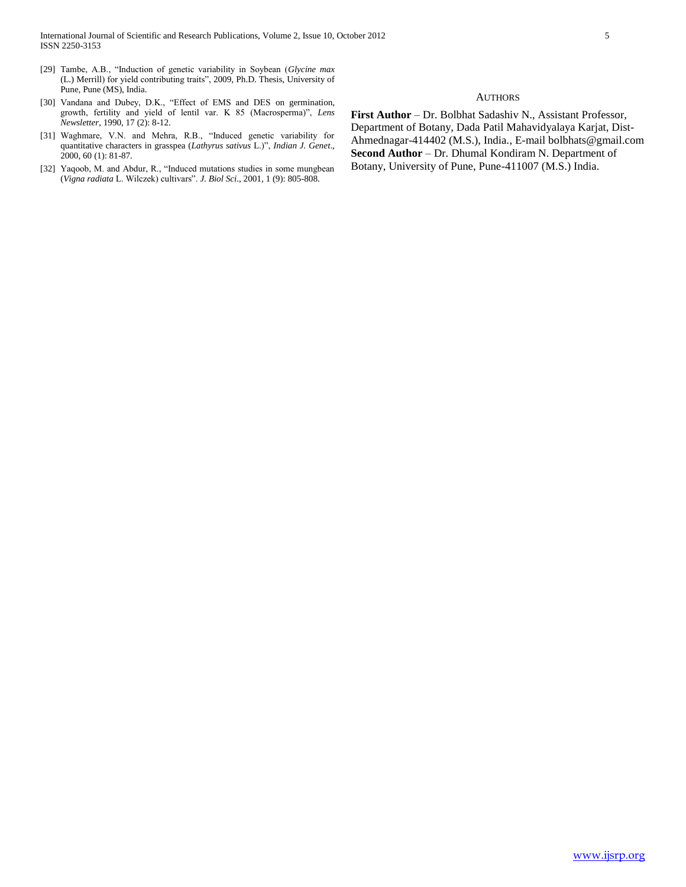## **AUTHORS**

[30] Vandana and Dubey, D.K., "Effect of EMS and DES on germination, growth, fertility and yield of lentil var. K 85 (Macrosperma)", *Lens Newsletter*, 1990, 17 (2): 8-12.

[29] Tambe, A.B., "Induction of genetic variability in Soybean (*Glycine max*  (L.) Merrill) for yield contributing traits", 2009, Ph.D. Thesis, University of

Pune, Pune (MS), India.

- [31] Waghmare, V.N. and Mehra, R.B., "Induced genetic variability for quantitative characters in grasspea (*Lathyrus sativus* L.)", *Indian J. Genet*., 2000, 60 (1): 81-87.
- [32] Yaqoob, M. and Abdur, R., "Induced mutations studies in some mungbean (*Vigna radiata* L. Wilczek) cultivars". *J. Biol Sci*., 2001, 1 (9): 805-808.

**First Author** – Dr. Bolbhat Sadashiv N., Assistant Professor, Department of Botany, Dada Patil Mahavidyalaya Karjat, Dist-Ahmednagar-414402 (M.S.), India., E-mail bolbhats@gmail.com **Second Author** – Dr. Dhumal Kondiram N. Department of Botany, University of Pune, Pune-411007 (M.S.) India.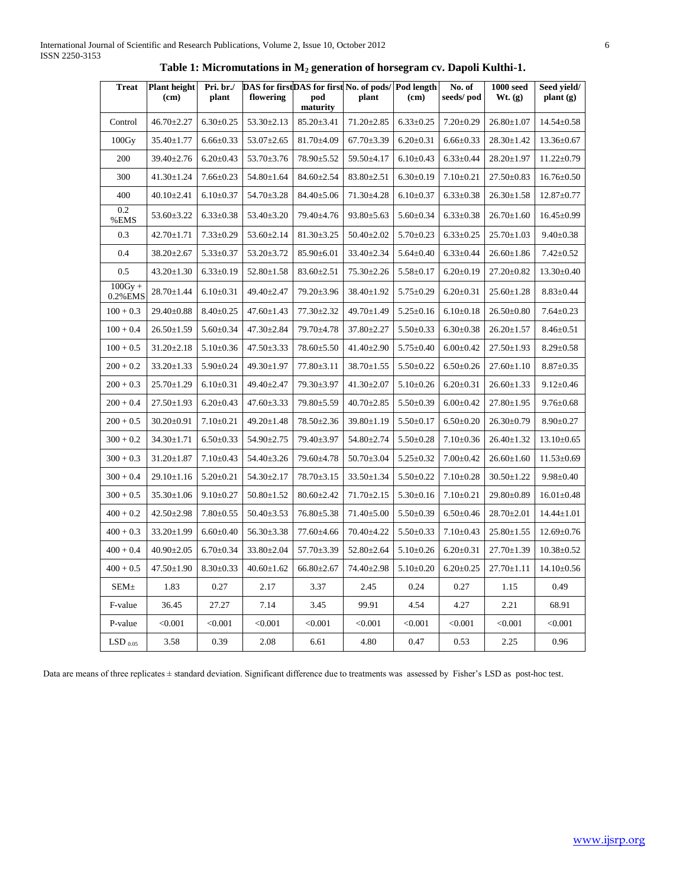| <b>Treat</b>            | <b>Plant height</b><br>(c <sub>m</sub> ) | Pri. br./<br>plant | DAS for firstDAS for first No. of pods/ Pod length<br>flowering | pod<br>maturity  | plant            | (cm)            | No. of<br>seeds/pod | $1000$ seed<br>Wt. (g) | Seed yield/<br>$\mathbf{plant}(\mathbf{g})$ |
|-------------------------|------------------------------------------|--------------------|-----------------------------------------------------------------|------------------|------------------|-----------------|---------------------|------------------------|---------------------------------------------|
| Control                 | $46.70 \pm 2.27$                         | $6.30 \pm 0.25$    | $53.30 \pm 2.13$                                                | $85.20 \pm 3.41$ | $71.20 \pm 2.85$ | $6.33 \pm 0.25$ | $7.20 \pm 0.29$     | $26.80 \pm 1.07$       | $14.54 \pm 0.58$                            |
| 100Gy                   | $35.40 \pm 1.77$                         | $6.66 \pm 0.33$    | $53.07 \pm 2.65$                                                | $81.70 \pm 4.09$ | $67.70 \pm 3.39$ | $6.20 \pm 0.31$ | $6.66 \pm 0.33$     | $28.30 \pm 1.42$       | $13.36 \pm 0.67$                            |
| 200                     | $39.40 \pm 2.76$                         | $6.20 \pm 0.43$    | $53.70 \pm 3.76$                                                | $78.90 \pm 5.52$ | $59.50 \pm 4.17$ | $6.10 \pm 0.43$ | $6.33 \pm 0.44$     | $28.20 \pm 1.97$       | $11.22 \pm 0.79$                            |
| 300                     | $41.30 \pm 1.24$                         | $7.66 \pm 0.23$    | $54.80 \pm 1.64$                                                | $84.60 \pm 2.54$ | $83.80 \pm 2.51$ | $6.30 \pm 0.19$ | $7.10 \pm 0.21$     | $27.50 \pm 0.83$       | $16.76 \pm 0.50$                            |
| 400                     | $40.10 \pm 2.41$                         | $6.10{\pm}0.37$    | 54.70±3.28                                                      | 84.40±5.06       | 71.30±4.28       | $6.10 \pm 0.37$ | $6.33 \pm 0.38$     | $26.30 \pm 1.58$       | $12.87 \pm 0.77$                            |
| 0.2<br>%EMS             | $53.60 \pm 3.22$                         | $6.33 \pm 0.38$    | $53.40 \pm 3.20$                                                | 79.40±4.76       | $93.80 \pm 5.63$ | $5.60 \pm 0.34$ | $6.33 \pm 0.38$     | $26.70 \pm 1.60$       | $16.45 \pm 0.99$                            |
| 0.3                     | $42.70 \pm 1.71$                         | $7.33 \pm 0.29$    | $53.60 \pm 2.14$                                                | $81.30 \pm 3.25$ | $50.40 \pm 2.02$ | $5.70 \pm 0.23$ | $6.33 \pm 0.25$     | $25.70 \pm 1.03$       | $9.40 \pm 0.38$                             |
| 0.4                     | $38.20 \pm 2.67$                         | $5.33 \pm 0.37$    | $53.20 \pm 3.72$                                                | $85.90 \pm 6.01$ | $33.40 \pm 2.34$ | $5.64 \pm 0.40$ | $6.33 \pm 0.44$     | $26.60 \pm 1.86$       | $7.42 \pm 0.52$                             |
| 0.5                     | $43.20 \pm 1.30$                         | $6.33 \pm 0.19$    | $52.80 \pm 1.58$                                                | $83.60 \pm 2.51$ | $75.30 \pm 2.26$ | $5.58 \pm 0.17$ | $6.20 \pm 0.19$     | $27.20 \pm 0.82$       | $13.30 \pm 0.40$                            |
| $100Gy +$<br>0.2% EMS   | $28.70 \pm 1.44$                         | $6.10 \pm 0.31$    | 49.40±2.47                                                      | 79.20±3.96       | $38.40 \pm 1.92$ | $5.75 \pm 0.29$ | $6.20 \pm 0.31$     | $25.60 \pm 1.28$       | $8.83 \pm 0.44$                             |
| $100 + 0.3$             | $29.40 \pm 0.88$                         | $8.40 \pm 0.25$    | $47.60 \pm 1.43$                                                | $77.30 \pm 2.32$ | 49.70±1.49       | $5.25 \pm 0.16$ | $6.10 \pm 0.18$     | $26.50 \pm 0.80$       | $7.64 \pm 0.23$                             |
| $100 + 0.4$             | $26.50 \pm 1.59$                         | $5.60 \pm 0.34$    | $47.30 \pm 2.84$                                                | 79.70±4.78       | $37.80 \pm 2.27$ | $5.50 \pm 0.33$ | $6.30 \pm 0.38$     | $26.20 \pm 1.57$       | $8.46 \pm 0.51$                             |
| $100 + 0.5$             | $31.20 \pm 2.18$                         | $5.10 \pm 0.36$    | $47.50 \pm 3.33$                                                | $78.60 \pm 5.50$ | $41.40 \pm 2.90$ | $5.75 \pm 0.40$ | $6.00 \pm 0.42$     | $27.50 \pm 1.93$       | $8.29 \pm 0.58$                             |
| $200 + 0.2$             | $33.20 \pm 1.33$                         | $5.90 \pm 0.24$    | 49.30±1.97                                                      | $77.80 \pm 3.11$ | $38.70 \pm 1.55$ | $5.50 \pm 0.22$ | $6.50 \pm 0.26$     | $27.60 \pm 1.10$       | $8.87 \pm 0.35$                             |
| $200 + 0.3$             | $25.70 \pm 1.29$                         | $6.10 \pm 0.31$    | 49.40±2.47                                                      | 79.30±3.97       | $41.30 \pm 2.07$ | $5.10 \pm 0.26$ | $6.20 \pm 0.31$     | $26.60 \pm 1.33$       | $9.12 \pm 0.46$                             |
| $200 + 0.4$             | $27.50 \pm 1.93$                         | $6.20 \pm 0.43$    | $47.60 \pm 3.33$                                                | 79.80±5.59       | $40.70 \pm 2.85$ | $5.50 \pm 0.39$ | $6.00 \pm 0.42$     | $27.80 \pm 1.95$       | $9.76 \pm 0.68$                             |
| $200 + 0.5$             | $30.20 \pm 0.91$                         | $7.10 \pm 0.21$    | $49.20 \pm 1.48$                                                | 78.50±2.36       | $39.80 \pm 1.19$ | $5.50 \pm 0.17$ | $6.50 \pm 0.20$     | $26.30 \pm 0.79$       | $8.90 \pm 0.27$                             |
| $300 + 0.2$             | $34.30 \pm 1.71$                         | $6.50 \pm 0.33$    | $54.90 \pm 2.75$                                                | 79.40±3.97       | $54.80 \pm 2.74$ | $5.50 \pm 0.28$ | $7.10 \pm 0.36$     | $26.40 \pm 1.32$       | $13.10 \pm 0.65$                            |
| $300 + 0.3$             | $31.20 \pm 1.87$                         | $7.10 \pm 0.43$    | $54.40 \pm 3.26$                                                | 79.60±4.78       | $50.70 \pm 3.04$ | $5.25 \pm 0.32$ | $7.00 \pm 0.42$     | $26.60 \pm 1.60$       | $11.53 \pm 0.69$                            |
| $300 + 0.4$             | $29.10 \pm 1.16$                         | $5.20 \pm 0.21$    | $54.30 \pm 2.17$                                                | $78.70 \pm 3.15$ | $33.50 \pm 1.34$ | $5.50 \pm 0.22$ | $7.10 \pm 0.28$     | $30.50 \pm 1.22$       | $9.98 \pm 0.40$                             |
| $300 + 0.5$             | $35.30 \pm 1.06$                         | $9.10 \pm 0.27$    | $50.80 \pm 1.52$                                                | $80.60 \pm 2.42$ | $71.70 \pm 2.15$ | $5.30 \pm 0.16$ | $7.10 \pm 0.21$     | $29.80 \pm 0.89$       | $16.01 \pm 0.48$                            |
| $400 + 0.2$             | $42.50 \pm 2.98$                         | $7.80 \pm 0.55$    | $50.40 \pm 3.53$                                                | 76.80±5.38       | 71.40±5.00       | $5.50 \pm 0.39$ | $6.50 \pm 0.46$     | $28.70 \pm 2.01$       | $14.44 \pm 1.01$                            |
| $400 + 0.3$             | $33.20 \pm 1.99$                         | $6.60 \pm 0.40$    | $56.30 \pm 3.38$                                                | 77.60±4.66       | $70.40 \pm 4.22$ | $5.50 \pm 0.33$ | $7.10 \pm 0.43$     | $25.80 \pm 1.55$       | $12.69 \pm 0.76$                            |
| $400 + 0.4$             | $40.90 \pm 2.05$                         | $6.70 \pm 0.34$    | 33.80±2.04                                                      | 57.70±3.39       | 52.80±2.64       | $5.10 \pm 0.26$ | $6.20 \pm 0.31$     | 27.70±1.39             | $10.38 \pm 0.52$                            |
| $400 + 0.5$             | $47.50 \pm 1.90$                         | $8.30 \pm 0.33$    | $40.60 \pm 1.62$                                                | $66.80 \pm 2.67$ | $74.40 \pm 2.98$ | $5.10 \pm 0.20$ | $6.20 \pm 0.25$     | $27.70 \pm 1.11$       | $14.10 \pm 0.56$                            |
| <b>SEM</b> <sup>+</sup> | 1.83                                     | 0.27               | 2.17                                                            | 3.37             | 2.45             | 0.24            | 0.27                | 1.15                   | 0.49                                        |
| F-value                 | 36.45                                    | 27.27              | 7.14                                                            | 3.45             | 99.91            | 4.54            | 4.27                | 2.21                   | 68.91                                       |
| P-value                 | < 0.001                                  | < 0.001            | < 0.001                                                         | < 0.001          | < 0.001          | < 0.001         | < 0.001             | < 0.001                | < 0.001                                     |
| $LSD_{0.05}$            | 3.58                                     | 0.39               | 2.08                                                            | 6.61             | 4.80             | 0.47            | 0.53                | 2.25                   | 0.96                                        |

**Table 1: Micromutations in M<sup>2</sup> generation of horsegram cv. Dapoli Kulthi-1.**

Data are means of three replicates ± standard deviation. Significant difference due to treatments was assessed by Fisher's LSD as post-hoc test.